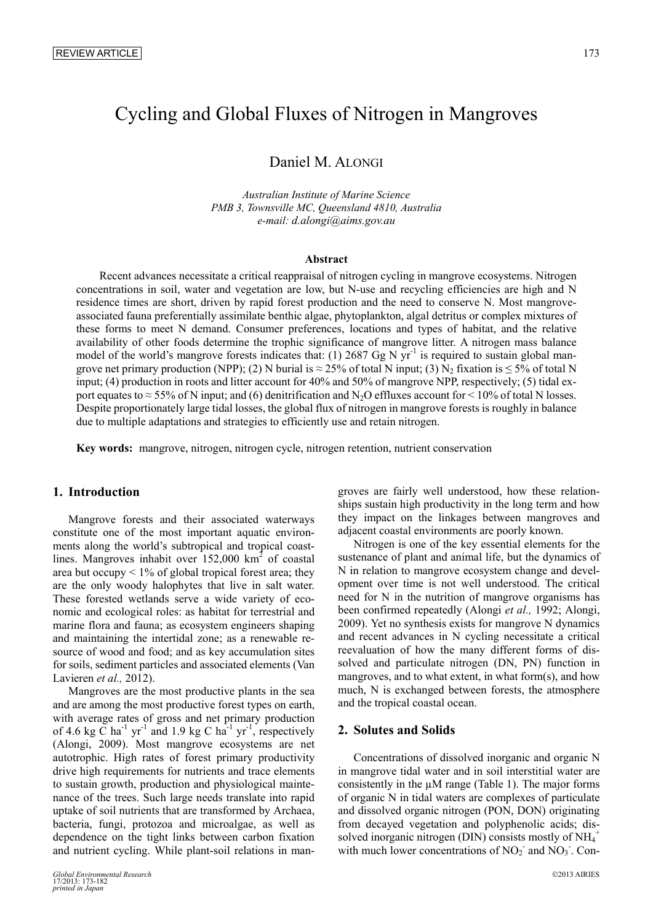# Cycling and Global Fluxes of Nitrogen in Mangroves

# Daniel M. ALONGI

*Australian Institute of Marine Science PMB 3, Townsville MC, Queensland 4810, Australia e-mail:* 0*[d.alongi@aims.gov.au](mailto:d.alongi@aims.gov.au)*

# **Abstract**

Recent advances necessitate a critical reappraisal of nitrogen cycling in mangrove ecosystems. Nitrogen concentrations in soil, water and vegetation are low, but N-use and recycling efficiencies are high and N residence times are short, driven by rapid forest production and the need to conserve N. Most mangroveassociated fauna preferentially assimilate benthic algae, phytoplankton, algal detritus or complex mixtures of these forms to meet N demand. Consumer preferences, locations and types of habitat, and the relative availability of other foods determine the trophic significance of mangrove litter. A nitrogen mass balance model of the world's mangrove forests indicates that: (1) 2687 Gg N  $yr^{-1}$  is required to sustain global mangrove net primary production (NPP); (2) N burial is  $\approx$  25% of total N input; (3) N<sub>2</sub> fixation is  $\leq$  5% of total N input; (4) production in roots and litter account for 40% and 50% of mangrove NPP, respectively; (5) tidal export equates to  $\approx$  55% of N input; and (6) denitrification and N<sub>2</sub>O effluxes account for  $\leq$  10% of total N losses. Despite proportionately large tidal losses, the global flux of nitrogen in mangrove forests is roughly in balance due to multiple adaptations and strategies to efficiently use and retain nitrogen.

**Key words:** mangrove, nitrogen, nitrogen cycle, nitrogen retention, nutrient conservation

# **1. Introduction**

Mangrove forests and their associated waterways constitute one of the most important aquatic environments along the world's subtropical and tropical coastlines. Mangroves inhabit over  $152,000 \text{ km}^2$  of coastal area but occupy  $\leq 1\%$  of global tropical forest area; they are the only woody halophytes that live in salt water. These forested wetlands serve a wide variety of economic and ecological roles: as habitat for terrestrial and marine flora and fauna; as ecosystem engineers shaping and maintaining the intertidal zone; as a renewable resource of wood and food; and as key accumulation sites for soils, sediment particles and associated elements (Van Lavieren *et al.,* 2012).

Mangroves are the most productive plants in the sea and are among the most productive forest types on earth, with average rates of gross and net primary production of 4.6 kg C ha<sup>-1</sup> yr<sup>-1</sup> and 1.9 kg C ha<sup>-1</sup> yr<sup>-1</sup>, respectively (Alongi, 2009). Most mangrove ecosystems are net autotrophic. High rates of forest primary productivity drive high requirements for nutrients and trace elements to sustain growth, production and physiological maintenance of the trees. Such large needs translate into rapid uptake of soil nutrients that are transformed by Archaea, bacteria, fungi, protozoa and microalgae, as well as dependence on the tight links between carbon fixation and nutrient cycling. While plant-soil relations in mangroves are fairly well understood, how these relationships sustain high productivity in the long term and how they impact on the linkages between mangroves and adjacent coastal environments are poorly known.

Nitrogen is one of the key essential elements for the sustenance of plant and animal life, but the dynamics of N in relation to mangrove ecosystem change and development over time is not well understood. The critical need for N in the nutrition of mangrove organisms has been confirmed repeatedly (Alongi *et al.,* 1992; Alongi, 2009). Yet no synthesis exists for mangrove N dynamics and recent advances in N cycling necessitate a critical reevaluation of how the many different forms of dissolved and particulate nitrogen (DN, PN) function in mangroves, and to what extent, in what form(s), and how much, N is exchanged between forests, the atmosphere and the tropical coastal ocean.

# **2. Solutes and Solids**

Concentrations of dissolved inorganic and organic N in mangrove tidal water and in soil interstitial water are consistently in the  $\mu$ M range (Table 1). The major forms of organic N in tidal waters are complexes of particulate and dissolved organic nitrogen (PON, DON) originating from decayed vegetation and polyphenolic acids; dissolved inorganic nitrogen (DIN) consists mostly of  $NH_4^+$ with much lower concentrations of  $NO<sub>2</sub>$  and  $NO<sub>3</sub>$ . Con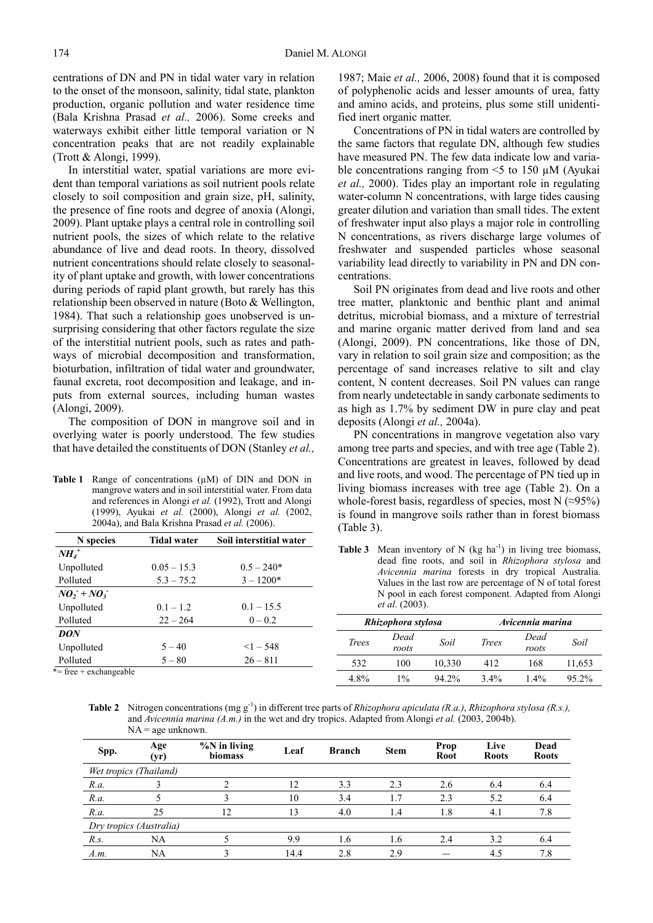centrations of DN and PN in tidal water vary in relation to the onset of the monsoon, salinity, tidal state, plankton production, organic pollution and water residence time (Bala Krishna Prasad *et al.,* 2006). Some creeks and waterways exhibit either little temporal variation or N concentration peaks that are not readily explainable (Trott & Alongi, 1999).

In interstitial water, spatial variations are more evident than temporal variations as soil nutrient pools relate closely to soil composition and grain size, pH, salinity, the presence of fine roots and degree of anoxia (Alongi, 2009). Plant uptake plays a central role in controlling soil nutrient pools, the sizes of which relate to the relative abundance of live and dead roots. In theory, dissolved nutrient concentrations should relate closely to seasonality of plant uptake and growth, with lower concentrations during periods of rapid plant growth, but rarely has this relationship been observed in nature (Boto & Wellington, 1984). That such a relationship goes unobserved is unsurprising considering that other factors regulate the size of the interstitial nutrient pools, such as rates and pathways of microbial decomposition and transformation, bioturbation, infiltration of tidal water and groundwater, faunal excreta, root decomposition and leakage, and inputs from external sources, including human wastes (Alongi, 2009).

The composition of DON in mangrove soil and in overlying water is poorly understood. The few studies that have detailed the constituents of DON (Stanley *et al.,*

**Table 1** Range of concentrations (µM) of DIN and DON in mangrove waters and in soil interstitial water. From data and references in Alongi *et al.* (1992), Trott and Alongi (1999), Ayukai *et al.* (2000), Alongi *et al.* (2002, 2004a), and Bala Krishna Prasad *et al.* (2006).

| <b>Tidal water</b> | Soil interstitial water |
|--------------------|-------------------------|
|                    |                         |
| $0.05 - 15.3$      | $0.5 - 240*$            |
| $5.3 - 75.2$       | $3 - 1200*$             |
|                    |                         |
| $0.1 - 1.2$        | $0.1 - 15.5$            |
| $22 - 264$         | $0 - 0.2$               |
|                    |                         |
| $5 - 40$           | $\leq$ 1 $-$ 548        |
| $5 - 80$           | $26 - 811$              |
|                    |                         |

 $=$  free  $+$  exchangeable

1987; Maie *et al.,* 2006, 2008) found that it is composed of polyphenolic acids and lesser amounts of urea, fatty and amino acids, and proteins, plus some still unidentified inert organic matter.

Concentrations of PN in tidal waters are controlled by the same factors that regulate DN, although few studies have measured PN. The few data indicate low and variable concentrations ranging from  $\leq$  to 150  $\mu$ M (Ayukai *et al.,* 2000). Tides play an important role in regulating water-column N concentrations, with large tides causing greater dilution and variation than small tides. The extent of freshwater input also plays a major role in controlling N concentrations, as rivers discharge large volumes of freshwater and suspended particles whose seasonal variability lead directly to variability in PN and DN concentrations.

Soil PN originates from dead and live roots and other tree matter, planktonic and benthic plant and animal detritus, microbial biomass, and a mixture of terrestrial and marine organic matter derived from land and sea (Alongi, 2009). PN concentrations, like those of DN, vary in relation to soil grain size and composition; as the percentage of sand increases relative to silt and clay content, N content decreases. Soil PN values can range from nearly undetectable in sandy carbonate sediments to as high as 1.7% by sediment DW in pure clay and peat deposits (Alongi *et al.,* 2004a).

PN concentrations in mangrove vegetation also vary among tree parts and species, and with tree age (Table 2). Concentrations are greatest in leaves, followed by dead and live roots, and wood. The percentage of PN tied up in living biomass increases with tree age (Table 2). On a whole-forest basis, regardless of species, most N  $(\approx 95\%)$ is found in mangrove soils rather than in forest biomass (Table 3).

**Table 3** Mean inventory of N  $(kg \ ha^{-1})$  in living tree biomass, dead fine roots, and soil in *Rhizophora stylosa* and *Avicennia marina* forests in dry tropical Australia. Values in the last row are percentage of N of total forest N pool in each forest component. Adapted from Alongi *et al.* (2003).

| Rhizophora stylosa |               |        | Avicennia marina |               |        |
|--------------------|---------------|--------|------------------|---------------|--------|
| Trees              | Dead<br>roots | Soil   | <b>Trees</b>     | Dead<br>roots | Soil   |
| 532                | 100           | 10,330 | 412              | 168           | 11,653 |
| 4 8%               | $1\%$         | 94 2%  | $3.4\%$          | $1.4\%$       | 95 2%  |

**Table 2** Nitrogen concentrations (mg g<sup>-1</sup>) in different tree parts of *Rhizophora apiculata (R.a.)*, *Rhizophora stylosa (R.s.)*, and *Avicennia marina (A.m.)* in the wet and dry tropics. Adapted from Alongi *et al.* (2003, 2004b).  $NA = age$  unknown.

| Spp.                    | Age<br>(yr)            | $\%$ N in living<br>biomass | Leaf | <b>Branch</b> | <b>Stem</b> | Prop<br>Root | Live<br><b>Roots</b> | Dead<br><b>Roots</b> |
|-------------------------|------------------------|-----------------------------|------|---------------|-------------|--------------|----------------------|----------------------|
|                         | Wet tropics (Thailand) |                             |      |               |             |              |                      |                      |
| R.a.                    |                        |                             | 12   | 3.3           | 2.3         | 2.6          | 6.4                  | 6.4                  |
| R.a.                    |                        |                             | 10   | 3.4           | 1.7         | 2.3          | 5.2                  | 6.4                  |
| R.a.                    | 25                     | 12                          | 13   | 4.0           | 1.4         | 1.8          | 4.1                  | 7.8                  |
| Dry tropics (Australia) |                        |                             |      |               |             |              |                      |                      |
| R.s.                    | NA                     |                             | 9.9  | 1.6           | 1.6         | 2.4          | 3.2                  | 6.4                  |
| A.m.                    | NA                     |                             | 14.4 | 2.8           | 2.9         |              | 4.5                  | 7.8                  |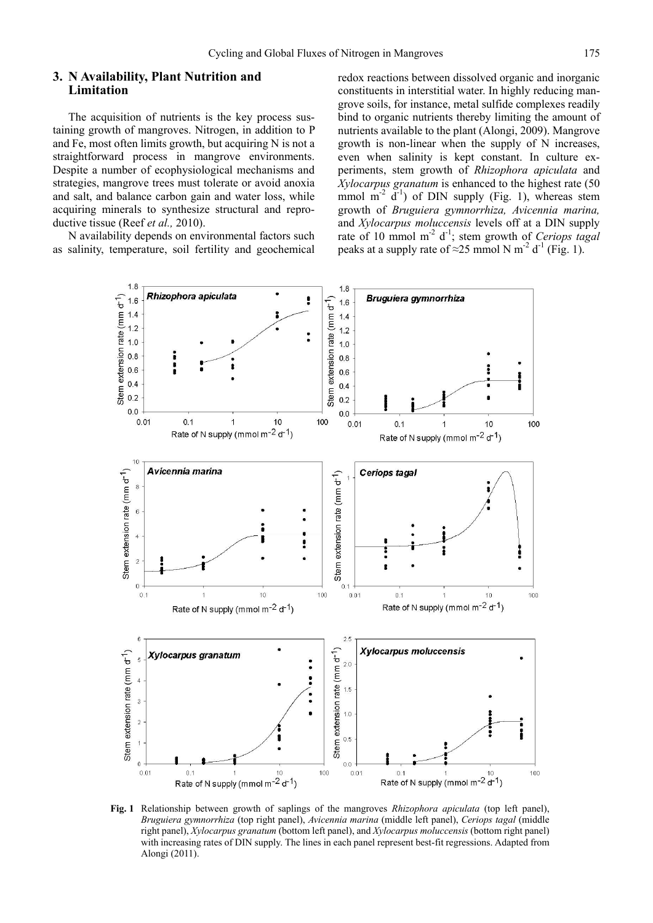# **3. N Availability, Plant Nutrition and Limitation**

The acquisition of nutrients is the key process sustaining growth of mangroves. Nitrogen, in addition to P and Fe, most often limits growth, but acquiring N is not a straightforward process in mangrove environments. Despite a number of ecophysiological mechanisms and strategies, mangrove trees must tolerate or avoid anoxia and salt, and balance carbon gain and water loss, while acquiring minerals to synthesize structural and reproductive tissue (Reef *et al.,* 2010).

N availability depends on environmental factors such as salinity, temperature, soil fertility and geochemical redox reactions between dissolved organic and inorganic constituents in interstitial water. In highly reducing mangrove soils, for instance, metal sulfide complexes readily bind to organic nutrients thereby limiting the amount of nutrients available to the plant (Alongi, 2009). Mangrove growth is non-linear when the supply of N increases, even when salinity is kept constant. In culture experiments, stem growth of *Rhizophora apiculata* and *Xylocarpus granatum* is enhanced to the highest rate (50 mmol  $m^{-2}$   $d^{-1}$ ) of DIN supply (Fig. 1), whereas stem growth of *Bruguiera gymnorrhiza, Avicennia marina,*  and *Xylocarpus moluccensis* levels off at a DIN supply rate of 10 mmol m<sup>-2</sup> d<sup>-1</sup>; stem growth of *Ceriops tagal* peaks at a supply rate of  $\approx$ 25 mmol N m<sup>-2</sup> d<sup>-1</sup> (Fig. 1).



**Fig. 1** Relationship between growth of saplings of the mangroves *Rhizophora apiculata* (top left panel), *Bruguiera gymnorrhiza* (top right panel), *Avicennia marina* (middle left panel), *Ceriops tagal* (middle right panel), *Xylocarpus granatum* (bottom left panel), and *Xylocarpus moluccensis* (bottom right panel) with increasing rates of DIN supply. The lines in each panel represent best-fit regressions. Adapted from Alongi (2011).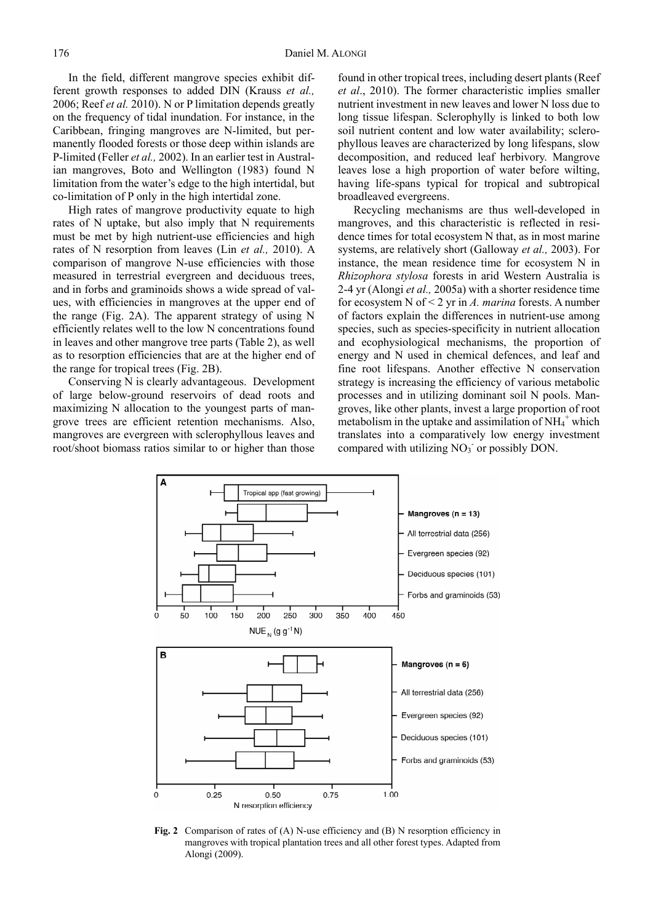In the field, different mangrove species exhibit different growth responses to added DIN (Krauss *et al.,* 2006; Reef *et al.* 2010). N or P limitation depends greatly on the frequency of tidal inundation. For instance, in the Caribbean, fringing mangroves are N-limited, but permanently flooded forests or those deep within islands are P-limited (Feller *et al.,* 2002). In an earlier test in Australian mangroves, Boto and Wellington (1983) found N limitation from the water's edge to the high intertidal, but co-limitation of P only in the high intertidal zone.

High rates of mangrove productivity equate to high rates of N uptake, but also imply that N requirements must be met by high nutrient-use efficiencies and high rates of N resorption from leaves (Lin *et al.,* 2010). A comparison of mangrove N-use efficiencies with those measured in terrestrial evergreen and deciduous trees, and in forbs and graminoids shows a wide spread of values, with efficiencies in mangroves at the upper end of the range (Fig. 2A). The apparent strategy of using N efficiently relates well to the low N concentrations found in leaves and other mangrove tree parts (Table 2), as well as to resorption efficiencies that are at the higher end of the range for tropical trees (Fig. 2B).

Conserving N is clearly advantageous. Development of large below-ground reservoirs of dead roots and maximizing N allocation to the youngest parts of mangrove trees are efficient retention mechanisms. Also, mangroves are evergreen with sclerophyllous leaves and root/shoot biomass ratios similar to or higher than those found in other tropical trees, including desert plants (Reef *et al*., 2010). The former characteristic implies smaller nutrient investment in new leaves and lower N loss due to long tissue lifespan. Sclerophylly is linked to both low soil nutrient content and low water availability; sclerophyllous leaves are characterized by long lifespans, slow decomposition, and reduced leaf herbivory. Mangrove leaves lose a high proportion of water before wilting, having life-spans typical for tropical and subtropical broadleaved evergreens.

Recycling mechanisms are thus well-developed in mangroves, and this characteristic is reflected in residence times for total ecosystem N that, as in most marine systems, are relatively short (Galloway *et al.,* 2003). For instance, the mean residence time for ecosystem N in *Rhizophora stylosa* forests in arid Western Australia is 2-4 yr (Alongi *et al.,* 2005a) with a shorter residence time for ecosystem N of < 2 yr in *A. marina* forests. A number of factors explain the differences in nutrient-use among species, such as species-specificity in nutrient allocation and ecophysiological mechanisms, the proportion of energy and N used in chemical defences, and leaf and fine root lifespans. Another effective N conservation strategy is increasing the efficiency of various metabolic processes and in utilizing dominant soil N pools. Mangroves, like other plants, invest a large proportion of root metabolism in the uptake and assimilation of  $NH_4^+$  which translates into a comparatively low energy investment compared with utilizing  $NO<sub>3</sub>$  or possibly DON.



**Fig. 2** Comparison of rates of (A) N-use efficiency and (B) N resorption efficiency in mangroves with tropical plantation trees and all other forest types. Adapted from Alongi (2009).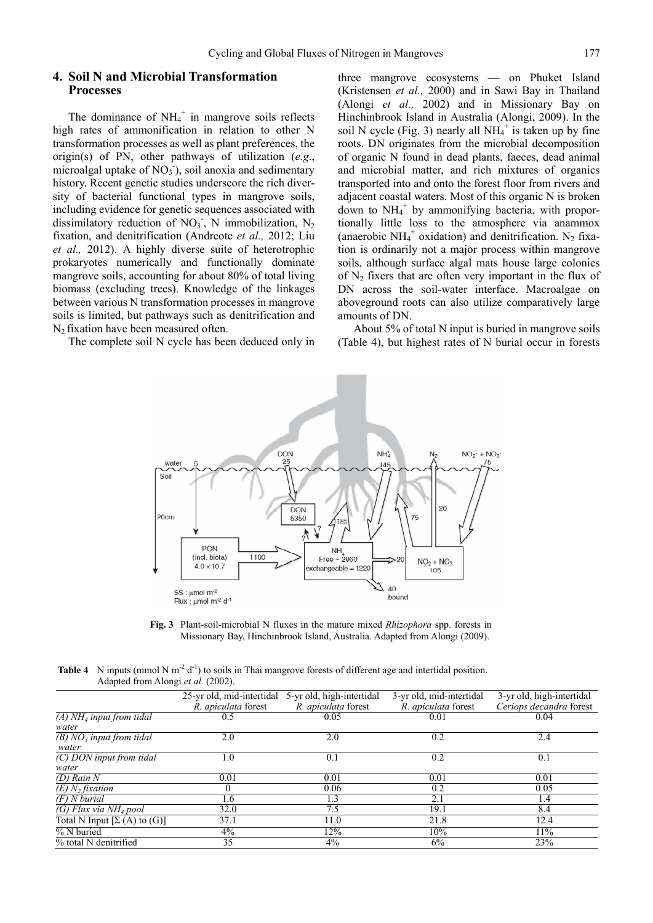#### **4. Soil N and Microbial Transformation Processes**

The dominance of  $NH_4^+$  in mangrove soils reflects high rates of ammonification in relation to other N transformation processes as well as plant preferences, the origin(s) of PN, other pathways of utilization (*e.g*., microalgal uptake of  $NO<sub>3</sub>$ ), soil anoxia and sedimentary history. Recent genetic studies underscore the rich diversity of bacterial functional types in mangrove soils, including evidence for genetic sequences associated with dissimilatory reduction of  $NO<sub>3</sub>$ , N immobilization, N<sub>2</sub> fixation, and denitrification (Andreote *et al.,* 2012; Liu *et al.,* 2012). A highly diverse suite of heterotrophic prokaryotes numerically and functionally dominate mangrove soils, accounting for about 80% of total living biomass (excluding trees). Knowledge of the linkages between various N transformation processes in mangrove soils is limited, but pathways such as denitrification and N<sub>2</sub> fixation have been measured often.

The complete soil N cycle has been deduced only in

three mangrove ecosystems — on Phuket Island (Kristensen *et al.,* 2000) and in Sawi Bay in Thailand (Alongi *et al.,* 2002) and in Missionary Bay on Hinchinbrook Island in Australia (Alongi, 2009). In the soil N cycle (Fig. 3) nearly all  $NH_4^+$  is taken up by fine roots. DN originates from the microbial decomposition of organic N found in dead plants, faeces, dead animal and microbial matter, and rich mixtures of organics transported into and onto the forest floor from rivers and adjacent coastal waters. Most of this organic N is broken down to NH<sub>4</sub><sup>+</sup> by ammonifying bacteria, with proportionally little loss to the atmosphere via anammox (anaerobic  $NH_4^+$  oxidation) and denitrification. N<sub>2</sub> fixation is ordinarily not a major process within mangrove soils, although surface algal mats house large colonies of  $N_2$  fixers that are often very important in the flux of DN across the soil-water interface. Macroalgae on aboveground roots can also utilize comparatively large amounts of DN.

About 5% of total N input is buried in mangrove soils (Table 4), but highest rates of N burial occur in forests



**Fig. 3** Plant-soil-microbial N fluxes in the mature mixed *Rhizophora* spp. forests in Missionary Bay, Hinchinbrook Island, Australia. Adapted from Alongi (2009).

| <b>Table 4</b> N inputs (mmol N m <sup>-2</sup> d <sup>-1</sup> ) to soils in Thai mangrove forests of different age and intertidal position. |
|-----------------------------------------------------------------------------------------------------------------------------------------------|
| Adapted from Alongi et al. (2002).                                                                                                            |

|                                                | 25-yr old, mid-intertidal<br>R. apiculata forest | 5-yr old, high-intertidal<br>R. apiculata forest | 3-yr old, mid-intertidal<br>R. apiculata forest | 3-yr old, high-intertidal<br>Ceriops decandra forest |
|------------------------------------------------|--------------------------------------------------|--------------------------------------------------|-------------------------------------------------|------------------------------------------------------|
| (A) $N\overline{H_4}$ input from tidal         | 0.5                                              | 0.05                                             | 0.01                                            | 0.04                                                 |
| water                                          |                                                  |                                                  |                                                 |                                                      |
| $\overline{(B) NO_3}$ input from tidal         | 2.0                                              | 2.0                                              | 0.2                                             | 2.4                                                  |
| water                                          |                                                  |                                                  |                                                 |                                                      |
| $\overline{(C)$ DON input from tidal           | $\Omega$                                         | 0.1                                              | 0.2                                             | 0.1                                                  |
| water                                          |                                                  |                                                  |                                                 |                                                      |
| $\overline{D}$ Rain N                          | 0.01                                             | 0.01                                             | 0.01                                            | 0.01                                                 |
| $(E)$ N <sub>2</sub> fixation                  |                                                  | 0.06                                             | 0.2                                             | 0.05                                                 |
| $(F)$ N burial                                 | 1.6                                              | 1.3                                              | 2.1                                             | 1.4                                                  |
| $\overline{(G)}$ Flux via NH <sub>4</sub> pool | 32.0                                             | 7.5                                              | 19.1                                            | 8.4                                                  |
| Total N Input $[\Sigma(A)$ to $(G)]$           | 37.1                                             | 11.0                                             | 21.8                                            | 12.4                                                 |
| % N buried                                     | 4%                                               | 12%                                              | 10%                                             | 11%                                                  |
| % total N denitrified                          | 35                                               | $4\%$                                            | 6%                                              | 23%                                                  |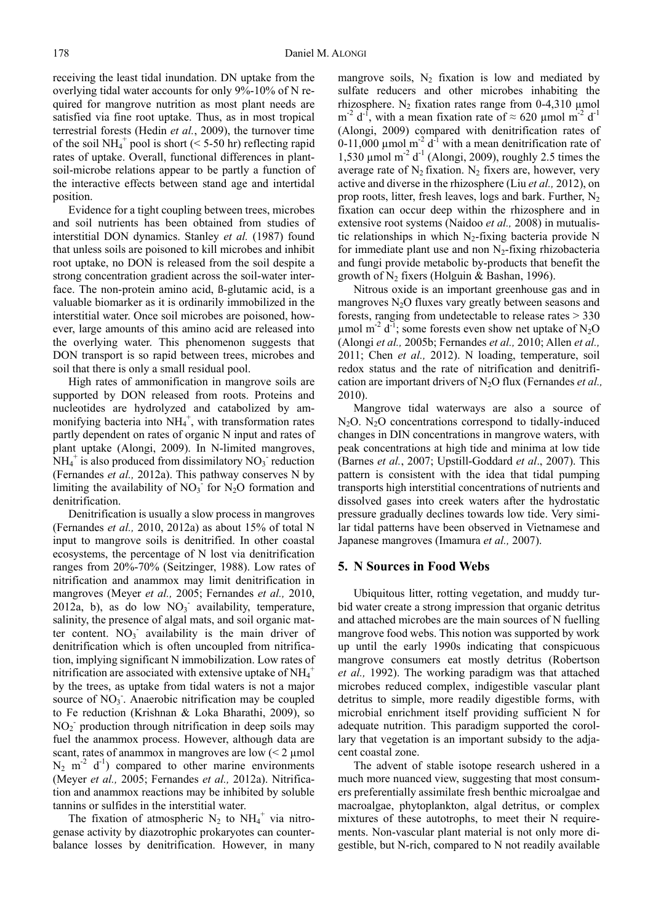receiving the least tidal inundation. DN uptake from the overlying tidal water accounts for only 9%-10% of N required for mangrove nutrition as most plant needs are satisfied via fine root uptake. Thus, as in most tropical terrestrial forests (Hedin *et al.*, 2009), the turnover time of the soil NH<sub>4</sub><sup>+</sup> pool is short (< 5-50 hr) reflecting rapid rates of uptake. Overall, functional differences in plantsoil-microbe relations appear to be partly a function of the interactive effects between stand age and intertidal position.

Evidence for a tight coupling between trees, microbes and soil nutrients has been obtained from studies of interstitial DON dynamics. Stanley *et al.* (1987) found that unless soils are poisoned to kill microbes and inhibit root uptake, no DON is released from the soil despite a strong concentration gradient across the soil-water interface. The non-protein amino acid, ß-glutamic acid, is a valuable biomarker as it is ordinarily immobilized in the interstitial water. Once soil microbes are poisoned, however, large amounts of this amino acid are released into the overlying water. This phenomenon suggests that DON transport is so rapid between trees, microbes and soil that there is only a small residual pool.

High rates of ammonification in mangrove soils are supported by DON released from roots. Proteins and nucleotides are hydrolyzed and catabolized by ammonifying bacteria into  $NH_4^+$ , with transformation rates partly dependent on rates of organic N input and rates of plant uptake (Alongi, 2009). In N-limited mangroves,  $NH_4^+$  is also produced from dissimilatory  $NO_3^-$  reduction (Fernandes *et al.,* 2012a). This pathway conserves N by limiting the availability of  $NO<sub>3</sub>$  for  $N<sub>2</sub>O$  formation and denitrification.

Denitrification is usually a slow process in mangroves (Fernandes *et al.,* 2010, 2012a) as about 15% of total N input to mangrove soils is denitrified. In other coastal ecosystems, the percentage of N lost via denitrification ranges from 20%-70% (Seitzinger, 1988). Low rates of nitrification and anammox may limit denitrification in mangroves (Meyer *et al.,* 2005; Fernandes *et al.,* 2010,  $2012a$ , b), as do low NO<sub>3</sub> availability, temperature, salinity, the presence of algal mats, and soil organic matter content.  $NO<sub>3</sub>$  availability is the main driver of denitrification which is often uncoupled from nitrification, implying significant N immobilization. Low rates of nitrification are associated with extensive uptake of  $NH_4^+$ by the trees, as uptake from tidal waters is not a major source of NO<sub>3</sub>. Anaerobic nitrification may be coupled to Fe reduction (Krishnan & Loka Bharathi, 2009), so NO2 - production through nitrification in deep soils may fuel the anammox process. However, although data are scant, rates of anammox in mangroves are low  $\leq 2 \text{ }\mu\text{mol}$  $N_2$  m<sup>-2</sup> d<sup>-1</sup>) compared to other marine environments (Meyer *et al.,* 2005; Fernandes *et al.,* 2012a). Nitrification and anammox reactions may be inhibited by soluble tannins or sulfides in the interstitial water.

The fixation of atmospheric  $N_2$  to  $NH_4^+$  via nitrogenase activity by diazotrophic prokaryotes can counterbalance losses by denitrification. However, in many mangrove soils,  $N_2$  fixation is low and mediated by sulfate reducers and other microbes inhabiting the rhizosphere. N<sub>2</sub> fixation rates range from 0-4,310  $\mu$ mol m<sup>-2</sup> d<sup>-1</sup>, with a mean fixation rate of  $\approx$  620 µmol m<sup>-2</sup> d<sup>-1</sup> (Alongi, 2009) compared with denitrification rates of 0-11,000  $\mu$ mol m<sup>-2</sup> d<sup>-1</sup> with a mean denitrification rate of 1,530  $\mu$ mol m<sup>-2</sup> d<sup>-1</sup> (Alongi, 2009), roughly 2.5 times the average rate of  $N_2$  fixation.  $N_2$  fixers are, however, very active and diverse in the rhizosphere (Liu *et al.,* 2012), on prop roots, litter, fresh leaves, logs and bark. Further,  $N_2$ fixation can occur deep within the rhizosphere and in extensive root systems (Naidoo *et al.,* 2008) in mutualistic relationships in which  $N_2$ -fixing bacteria provide N for immediate plant use and non  $N_2$ -fixing rhizobacteria and fungi provide metabolic by-products that benefit the growth of  $N_2$  fixers (Holguin & Bashan, 1996).

Nitrous oxide is an important greenhouse gas and in mangroves  $N_2O$  fluxes vary greatly between seasons and forests, ranging from undetectable to release rates > 330  $\mu$ mol m<sup>-2</sup> d<sup>-1</sup>; some forests even show net uptake of N<sub>2</sub>O (Alongi *et al.,* 2005b; Fernandes *et al.,* 2010; Allen *et al.,* 2011; Chen *et al.,* 2012). N loading, temperature, soil redox status and the rate of nitrification and denitrification are important drivers of N2O flux (Fernandes *et al.,* 2010).

Mangrove tidal waterways are also a source of  $N_2O$ .  $N_2O$  concentrations correspond to tidally-induced changes in DIN concentrations in mangrove waters, with peak concentrations at high tide and minima at low tide (Barnes *et al.*, 2007; Upstill-Goddard *et al*., 2007). This pattern is consistent with the idea that tidal pumping transports high interstitial concentrations of nutrients and dissolved gases into creek waters after the hydrostatic pressure gradually declines towards low tide. Very similar tidal patterns have been observed in Vietnamese and Japanese mangroves (Imamura *et al.,* 2007).

#### **5. N Sources in Food Webs**

Ubiquitous litter, rotting vegetation, and muddy turbid water create a strong impression that organic detritus and attached microbes are the main sources of N fuelling mangrove food webs. This notion was supported by work up until the early 1990s indicating that conspicuous mangrove consumers eat mostly detritus (Robertson *et al.,* 1992). The working paradigm was that attached microbes reduced complex, indigestible vascular plant detritus to simple, more readily digestible forms, with microbial enrichment itself providing sufficient N for adequate nutrition. This paradigm supported the corollary that vegetation is an important subsidy to the adjacent coastal zone.

The advent of stable isotope research ushered in a much more nuanced view, suggesting that most consumers preferentially assimilate fresh benthic microalgae and macroalgae, phytoplankton, algal detritus, or complex mixtures of these autotrophs, to meet their N requirements. Non-vascular plant material is not only more digestible, but N-rich, compared to N not readily available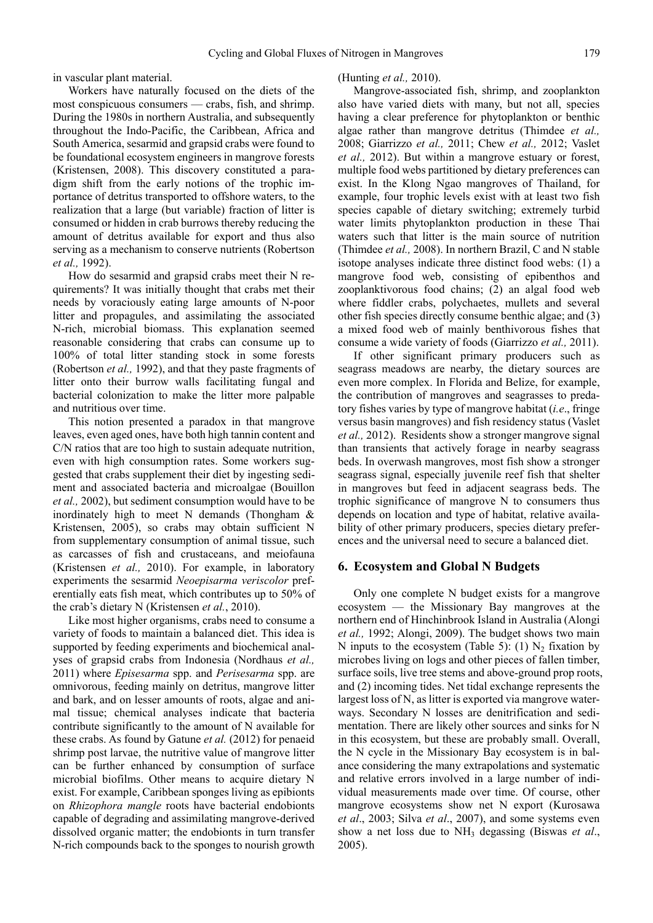in vascular plant material.

Workers have naturally focused on the diets of the most conspicuous consumers — crabs, fish, and shrimp. During the 1980s in northern Australia, and subsequently throughout the Indo-Pacific, the Caribbean, Africa and South America, sesarmid and grapsid crabs were found to be foundational ecosystem engineers in mangrove forests (Kristensen, 2008). This discovery constituted a paradigm shift from the early notions of the trophic importance of detritus transported to offshore waters, to the realization that a large (but variable) fraction of litter is consumed or hidden in crab burrows thereby reducing the amount of detritus available for export and thus also serving as a mechanism to conserve nutrients (Robertson *et al.,* 1992).

How do sesarmid and grapsid crabs meet their N requirements? It was initially thought that crabs met their needs by voraciously eating large amounts of N-poor litter and propagules, and assimilating the associated N-rich, microbial biomass. This explanation seemed reasonable considering that crabs can consume up to 100% of total litter standing stock in some forests (Robertson *et al.,* 1992), and that they paste fragments of litter onto their burrow walls facilitating fungal and bacterial colonization to make the litter more palpable and nutritious over time.

This notion presented a paradox in that mangrove leaves, even aged ones, have both high tannin content and C/N ratios that are too high to sustain adequate nutrition, even with high consumption rates. Some workers suggested that crabs supplement their diet by ingesting sediment and associated bacteria and microalgae (Bouillon *et al.,* 2002), but sediment consumption would have to be inordinately high to meet N demands (Thongham & Kristensen, 2005), so crabs may obtain sufficient N from supplementary consumption of animal tissue, such as carcasses of fish and crustaceans, and meiofauna (Kristensen *et al.,* 2010). For example, in laboratory experiments the sesarmid *Neoepisarma veriscolor* preferentially eats fish meat, which contributes up to 50% of the crab's dietary N (Kristensen *et al.*, 2010).

Like most higher organisms, crabs need to consume a variety of foods to maintain a balanced diet. This idea is supported by feeding experiments and biochemical analyses of grapsid crabs from Indonesia (Nordhaus *et al.,* 2011) where *Episesarma* spp. and *Perisesarma* spp. are omnivorous, feeding mainly on detritus, mangrove litter and bark, and on lesser amounts of roots, algae and animal tissue; chemical analyses indicate that bacteria contribute significantly to the amount of N available for these crabs. As found by Gatune *et al.* (2012) for penaeid shrimp post larvae, the nutritive value of mangrove litter can be further enhanced by consumption of surface microbial biofilms. Other means to acquire dietary N exist. For example, Caribbean sponges living as epibionts on *Rhizophora mangle* roots have bacterial endobionts capable of degrading and assimilating mangrove-derived dissolved organic matter; the endobionts in turn transfer N-rich compounds back to the sponges to nourish growth

#### (Hunting *et al.,* 2010).

Mangrove-associated fish, shrimp, and zooplankton also have varied diets with many, but not all, species having a clear preference for phytoplankton or benthic algae rather than mangrove detritus (Thimdee *et al.,* 2008; Giarrizzo *et al.,* 2011; Chew *et al.,* 2012; Vaslet *et al.,* 2012). But within a mangrove estuary or forest, multiple food webs partitioned by dietary preferences can exist. In the Klong Ngao mangroves of Thailand, for example, four trophic levels exist with at least two fish species capable of dietary switching; extremely turbid water limits phytoplankton production in these Thai waters such that litter is the main source of nutrition (Thimdee *et al.,* 2008). In northern Brazil, C and N stable isotope analyses indicate three distinct food webs: (1) a mangrove food web, consisting of epibenthos and zooplanktivorous food chains; (2) an algal food web where fiddler crabs, polychaetes, mullets and several other fish species directly consume benthic algae; and (3) a mixed food web of mainly benthivorous fishes that consume a wide variety of foods (Giarrizzo *et al.,* 2011).

If other significant primary producers such as seagrass meadows are nearby, the dietary sources are even more complex. In Florida and Belize, for example, the contribution of mangroves and seagrasses to predatory fishes varies by type of mangrove habitat (*i.e*., fringe versus basin mangroves) and fish residency status (Vaslet *et al.,* 2012). Residents show a stronger mangrove signal than transients that actively forage in nearby seagrass beds. In overwash mangroves, most fish show a stronger seagrass signal, especially juvenile reef fish that shelter in mangroves but feed in adjacent seagrass beds. The trophic significance of mangrove N to consumers thus depends on location and type of habitat, relative availability of other primary producers, species dietary preferences and the universal need to secure a balanced diet.

#### **6. Ecosystem and Global N Budgets**

Only one complete N budget exists for a mangrove ecosystem — the Missionary Bay mangroves at the northern end of Hinchinbrook Island in Australia (Alongi *et al.,* 1992; Alongi, 2009). The budget shows two main N inputs to the ecosystem (Table 5): (1)  $N_2$  fixation by microbes living on logs and other pieces of fallen timber, surface soils, live tree stems and above-ground prop roots, and (2) incoming tides. Net tidal exchange represents the largest loss of N, as litter is exported via mangrove waterways. Secondary N losses are denitrification and sedimentation. There are likely other sources and sinks for N in this ecosystem, but these are probably small. Overall, the N cycle in the Missionary Bay ecosystem is in balance considering the many extrapolations and systematic and relative errors involved in a large number of individual measurements made over time. Of course, other mangrove ecosystems show net N export (Kurosawa *et al*., 2003; Silva *et al*., 2007), and some systems even show a net loss due to NH3 degassing (Biswas *et al*., 2005).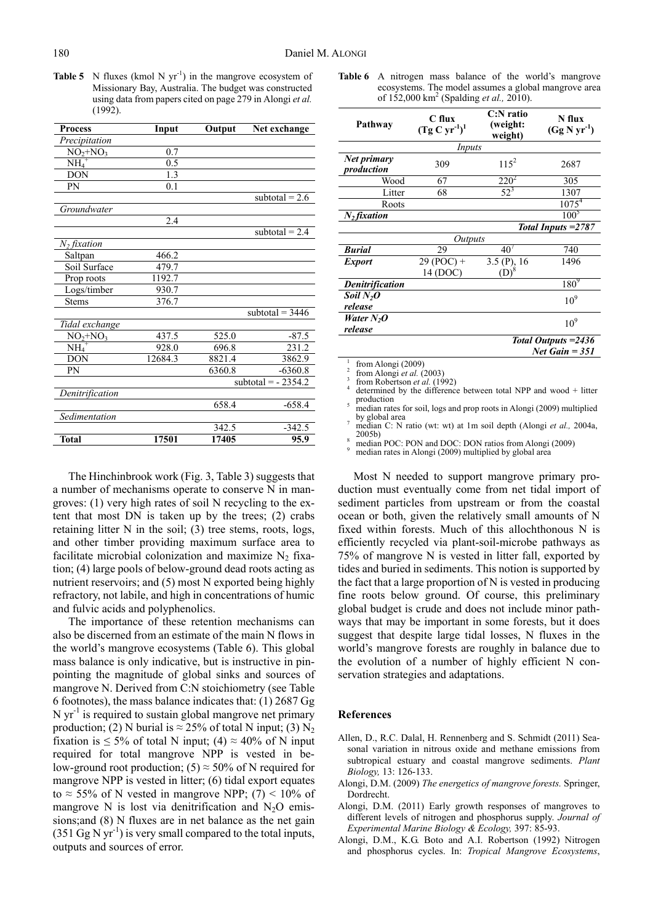**Table 5** N fluxes (kmol N  $yr^{-1}$ ) in the mangrove ecosystem of Missionary Bay, Australia. The budget was constructed using data from papers cited on page 279 in Alongi *et al.*  $(1992)$ 

| <b>Process</b>             | Input   | Output | Net exchange         |
|----------------------------|---------|--------|----------------------|
| Precipitation              |         |        |                      |
| $NO2+NO3$                  | 0.7     |        |                      |
| $\overline{\text{NH}_4}^+$ | 0.5     |        |                      |
| <b>DON</b>                 | 1.3     |        |                      |
| PN                         | 0.1     |        |                      |
|                            |         |        | subtotal = $2.6$     |
| Groundwater                |         |        |                      |
|                            | 2.4     |        |                      |
|                            |         |        | subtotal = $2.4$     |
| $N_2$ fixation             |         |        |                      |
| Saltpan                    | 466.2   |        |                      |
| Soil Surface               | 479.7   |        |                      |
| Prop roots                 | 1192.7  |        |                      |
| Logs/timber                | 930.7   |        |                      |
| <b>Stems</b>               | 376.7   |        |                      |
|                            |         |        | subtotal = $3446$    |
| Tidal exchange             |         |        |                      |
| $NO2+NO3$                  | 437.5   | 525.0  | $-87.5$              |
| $\overline{\text{NH}_4}^+$ | 928.0   | 696.8  | 231.2                |
| <b>DON</b>                 | 12684.3 | 8821.4 | 3862.9               |
| PN                         |         | 6360.8 | $-6360.8$            |
|                            |         |        | subtotal = $-2354.2$ |
| Denitrification            |         |        |                      |
|                            |         | 658.4  | $-658.4$             |
| Sedimentation              |         |        |                      |
|                            |         | 342.5  | $-342.5$             |
| <b>Total</b>               | 17501   | 17405  | 95.9                 |

The Hinchinbrook work (Fig. 3, Table 3) suggests that a number of mechanisms operate to conserve N in mangroves: (1) very high rates of soil N recycling to the extent that most DN is taken up by the trees; (2) crabs retaining litter N in the soil; (3) tree stems, roots, logs, and other timber providing maximum surface area to facilitate microbial colonization and maximize  $N_2$  fixation; (4) large pools of below-ground dead roots acting as nutrient reservoirs; and (5) most N exported being highly refractory, not labile, and high in concentrations of humic and fulvic acids and polyphenolics.

The importance of these retention mechanisms can also be discerned from an estimate of the main N flows in the world's mangrove ecosystems (Table 6). This global mass balance is only indicative, but is instructive in pinpointing the magnitude of global sinks and sources of mangrove N. Derived from C:N stoichiometry (see Table 6 footnotes), the mass balance indicates that: (1) 2687 Gg  $N yr<sup>-1</sup>$  is required to sustain global mangrove net primary production; (2) N burial is  $\approx$  25% of total N input; (3) N<sub>2</sub> fixation is  $\leq 5\%$  of total N input; (4)  $\approx 40\%$  of N input required for total mangrove NPP is vested in below-ground root production; (5)  $\approx$  50% of N required for mangrove NPP is vested in litter; (6) tidal export equates to  $\approx$  55% of N vested in mangrove NPP; (7) < 10% of mangrove N is lost via denitrification and  $N_2O$  emissions;and (8) N fluxes are in net balance as the net gain  $(351 \text{ Gg N yr}^{-1})$  is very small compared to the total inputs, outputs and sources of error.

Table 6 A nitrogen mass balance of the world's mangrove ecosystems. The model assumes a global mangrove area of 152,000 km2 (Spalding *et al.,* 2010).

| Pathway                          | C flux<br>$(Tg C yr-1)1$ | $C:$ N ratio<br>(weight:<br>weight) | N flux<br>$(Gg N yr-1)$                  |
|----------------------------------|--------------------------|-------------------------------------|------------------------------------------|
|                                  | Inputs                   |                                     |                                          |
| Net primary<br>production        | 309                      | $11.5^{2}$                          | 2687                                     |
| Wood                             | 67                       | $220^2$                             | 305                                      |
| Litter                           | 68                       | $52^{3}$                            | 1307                                     |
| Roots                            |                          |                                     | $1075^{4}$                               |
| $N2$ fixation                    |                          |                                     | $100^5$                                  |
|                                  |                          |                                     | Total Inputs = 2787                      |
|                                  | <i>Outputs</i>           |                                     |                                          |
| <b>Burial</b>                    | 29                       | 40 <sup>7</sup>                     | 740                                      |
| <b>Export</b>                    | $29 (POC) +$<br>14 (DOC) | $3.5$ (P), 16<br>$\mathrm{D}^{18}$  | 1496                                     |
| <b>Denitrification</b>           |                          |                                     | $180^9$                                  |
| Soil N <sub>2</sub> O<br>release |                          |                                     | 10 <sup>9</sup>                          |
| Water $N_2$ O<br>release         |                          |                                     | $10^{9}$                                 |
|                                  |                          |                                     | Total Outputs = 2436<br>Net Gain $= 351$ |

1 from Alongi (2009)

2 from Alongi *et al.* (2003)

from Robertson *et al.* (1992)

 determined by the difference between total NPP and wood + litter production median rates for soil, logs and prop roots in Alongi (2009) multiplied

by global area

 median C: N ratio (wt: wt) at 1m soil depth (Alongi *et al.,* 2004a,  $2005<sub>b</sub>$ 

 median POC: PON and DOC: DON ratios from Alongi (2009) 9

median rates in Alongi (2009) multiplied by global area

Most N needed to support mangrove primary production must eventually come from net tidal import of sediment particles from upstream or from the coastal ocean or both, given the relatively small amounts of N fixed within forests. Much of this allochthonous N is efficiently recycled via plant-soil-microbe pathways as 75% of mangrove N is vested in litter fall, exported by tides and buried in sediments. This notion is supported by the fact that a large proportion of N is vested in producing fine roots below ground. Of course, this preliminary global budget is crude and does not include minor pathways that may be important in some forests, but it does suggest that despite large tidal losses, N fluxes in the world's mangrove forests are roughly in balance due to the evolution of a number of highly efficient N conservation strategies and adaptations.

#### **References**

- Allen, D., R.C. Dalal, H. Rennenberg and S. Schmidt (2011) Seasonal variation in nitrous oxide and methane emissions from subtropical estuary and coastal mangrove sediments. *Plant Biology,* 13: 126-133.
- Alongi, D.M. (2009) *The energetics of mangrove forests.* Springer, Dordrecht.
- Alongi, D.M. (2011) Early growth responses of mangroves to different levels of nitrogen and phosphorus supply. *Journal of Experimental Marine Biology & Ecology,* 397: 85-93.
- Alongi, D.M., K.G. Boto and A.I. Robertson (1992) Nitrogen and phosphorus cycles. In: *Tropical Mangrove Ecosystems*,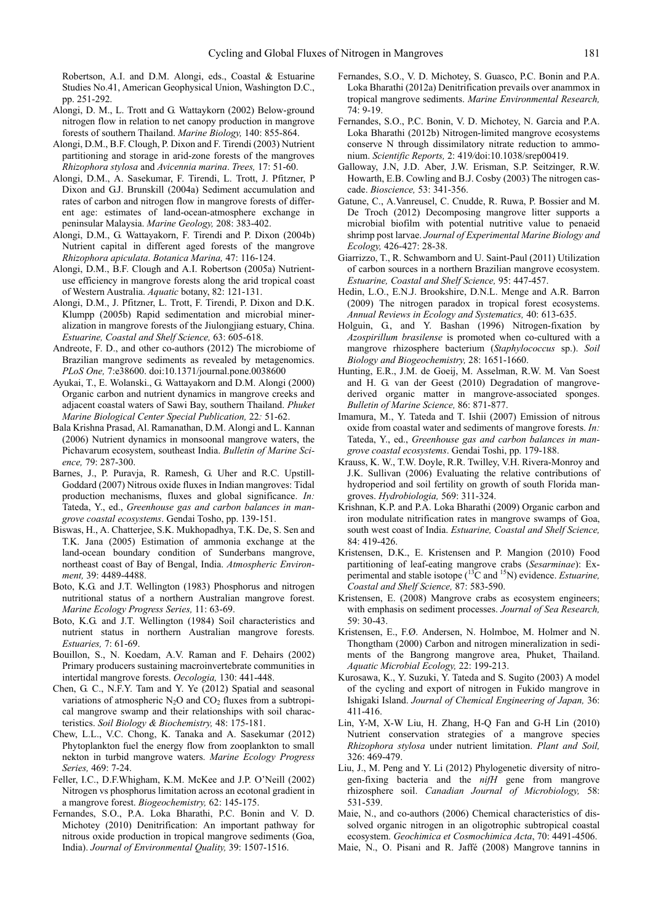Robertson, A.I. and D.M. Alongi, eds., Coastal & Estuarine Studies No.41, American Geophysical Union, Washington D.C., pp. 251-292.

- Alongi, D. M., L. Trott and G. Wattaykorn (2002) Below-ground nitrogen flow in relation to net canopy production in mangrove forests of southern Thailand. *Marine Biology,* 140: 855-864.
- Alongi, D.M., B.F. Clough, P. Dixon and F. Tirendi (2003) Nutrient partitioning and storage in arid-zone forests of the mangroves *Rhizophora stylosa* and *Avicennia marina*. *Trees,* 17: 51-60.
- Alongi, D.M., A. Sasekumar, F. Tirendi, L. Trott, J. Pfitzner, P Dixon and G.J. Brunskill (2004a) Sediment accumulation and rates of carbon and nitrogen flow in mangrove forests of different age: estimates of land-ocean-atmosphere exchange in peninsular Malaysia. *Marine Geology,* 208: 383-402.
- Alongi, D.M., G. Wattayakorn, F. Tirendi and P. Dixon (2004b) Nutrient capital in different aged forests of the mangrove *Rhizophora apiculata*. *Botanica Marina,* 47: 116-124.
- Alongi, D.M., B.F. Clough and A.I. Robertson (2005a) Nutrientuse efficiency in mangrove forests along the arid tropical coast of Western Australia. *Aquatic* botany, 82: 121-131.
- Alongi, D.M., J. Pfitzner, L. Trott, F. Tirendi, P. Dixon and D.K. Klumpp (2005b) Rapid sedimentation and microbial mineralization in mangrove forests of the Jiulongjiang estuary, China. *Estuarine, Coastal and Shelf Science,* 63: 605-618.
- Andreote, F. D., and other co-authors (2012) The microbiome of Brazilian mangrove sediments as revealed by metagenomics. *PLoS One,* 7:e38600. doi:10.1371/journal.pone.0038600
- Ayukai, T., E. Wolanski., G. Wattayakorn and D.M. Alongi (2000) Organic carbon and nutrient dynamics in mangrove creeks and adjacent coastal waters of Sawi Bay, southern Thailand. *Phuket Marine Biological Center Special Publication,* 22*:* 51-62.
- Bala Krishna Prasad, Al. Ramanathan, D.M. Alongi and L. Kannan (2006) Nutrient dynamics in monsoonal mangrove waters, the Pichavarum ecosystem, southeast India. *Bulletin of Marine Science,* 79: 287-300.
- Barnes, J., P. Puravja, R. Ramesh, G. Uher and R.C. Upstill-Goddard (2007) Nitrous oxide fluxes in Indian mangroves: Tidal production mechanisms, fluxes and global significance. *In:* Tateda, Y., ed., *Greenhouse gas and carbon balances in mangrove coastal ecosystems*. Gendai Tosho, pp. 139-151.
- Biswas, H., A. Chatterjee, S.K. Mukhopadhya, T.K. De, S. Sen and T.K. Jana (2005) Estimation of ammonia exchange at the land-ocean boundary condition of Sunderbans mangrove, northeast coast of Bay of Bengal, India. *Atmospheric Environment,* 39: 4489-4488.
- Boto, K.G. and J.T. Wellington (1983) Phosphorus and nitrogen nutritional status of a northern Australian mangrove forest. *Marine Ecology Progress Series,* 11: 63-69.
- Boto, K.G. and J.T. Wellington (1984) Soil characteristics and nutrient status in northern Australian mangrove forests. *Estuaries,* 7: 61-69.
- Bouillon, S., N. Koedam, A.V. Raman and F. Dehairs (2002) Primary producers sustaining macroinvertebrate communities in intertidal mangrove forests. *Oecologia,* 130: 441-448.
- Chen, G. C., N.F.Y. Tam and Y. Ye (2012) Spatial and seasonal variations of atmospheric  $N_2O$  and  $CO_2$  fluxes from a subtropical mangrove swamp and their relationships with soil characteristics. *Soil Biology & Biochemistry,* 48: 175-181.
- Chew, L.L., V.C. Chong, K. Tanaka and A. Sasekumar (2012) Phytoplankton fuel the energy flow from zooplankton to small nekton in turbid mangrove waters. *Marine Ecology Progress Series,* 469: 7-24.
- Feller, I.C., D.F.Whigham, K.M. McKee and J.P. O'Neill (2002) Nitrogen vs phosphorus limitation across an ecotonal gradient in a mangrove forest. *Biogeochemistry,* 62: 145-175.
- Fernandes, S.O., P.A. Loka Bharathi, P.C. Bonin and V. D. Michotey (2010) Denitrification: An important pathway for nitrous oxide production in tropical mangrove sediments (Goa, India). *Journal of Environmental Quality,* 39: 1507-1516.
- Fernandes, S.O., V. D. Michotey, S. Guasco, P.C. Bonin and P.A. Loka Bharathi (2012a) Denitrification prevails over anammox in tropical mangrove sediments. *Marine Environmental Research,* 74: 9-19.
- Fernandes, S.O., P.C. Bonin, V. D. Michotey, N. Garcia and P.A. Loka Bharathi (2012b) Nitrogen-limited mangrove ecosystems conserve N through dissimilatory nitrate reduction to ammonium. *Scientific Reports,* 2: 419*/*doi:10.1038/srep00419.
- Galloway, J.N, J.D. Aber, J.W. Erisman, S.P. Seitzinger, R.W. Howarth, E.B. Cowling and B.J. Cosby (2003) The nitrogen cascade. *Bioscience,* 53: 341-356.
- Gatune, C., A.Vanreusel, C. Cnudde, R. Ruwa, P. Bossier and M. De Troch (2012) Decomposing mangrove litter supports a microbial biofilm with potential nutritive value to penaeid shrimp post larvae. *Journal of Experimental Marine Biology and Ecology,* 426-427: 28-38.
- Giarrizzo, T., R. Schwamborn and U. Saint-Paul (2011) Utilization of carbon sources in a northern Brazilian mangrove ecosystem. *Estuarine, Coastal and Shelf Science,* 95: 447-457.
- Hedin, L.O., E.N.J. Brookshire, D.N.L. Menge and A.R. Barron (2009) The nitrogen paradox in tropical forest ecosystems. *Annual Reviews in Ecology and Systematics,* 40: 613-635.
- Holguin, G., and Y. Bashan (1996) Nitrogen-fixation by *Azospirillum brasilense* is promoted when co-cultured with a mangrove rhizosphere bacterium (*Staphylococcus* sp.). *Soil Biology and Biogeochemistry,* 28: 1651-1660.
- Hunting, E.R., J.M. de Goeij, M. Asselman, R.W. M. Van Soest and H. G. van der Geest (2010) Degradation of mangrovederived organic matter in mangrove-associated sponges. *Bulletin of Marine Science,* 86: 871-877.
- Imamura, M., Y. Tateda and T. Ishii (2007) Emission of nitrous oxide from coastal water and sediments of mangrove forests. *In:* Tateda, Y., ed., *Greenhouse gas and carbon balances in mangrove coastal ecosystems*. Gendai Toshi, pp. 179-188.
- Krauss, K. W., T.W. Doyle, R.R. Twilley, V.H. Rivera-Monroy and J.K. Sullivan (2006) Evaluating the relative contributions of hydroperiod and soil fertility on growth of south Florida mangroves. *Hydrobiologia,* 569: 311-324.
- Krishnan, K.P. and P.A. Loka Bharathi (2009) Organic carbon and iron modulate nitrification rates in mangrove swamps of Goa, south west coast of India. *Estuarine, Coastal and Shelf Science,*  84: 419-426.
- Kristensen, D.K., E. Kristensen and P. Mangion (2010) Food partitioning of leaf-eating mangrove crabs (*Sesarminae*): Experimental and stable isotope (13C and 15N) evidence. *Estuarine, Coastal and Shelf Science,* 87: 583-590.
- Kristensen, E. (2008) Mangrove crabs as ecosystem engineers; with emphasis on sediment processes. *Journal of Sea Research,*  59: 30-43.
- Kristensen, E., F.Ø. Andersen, N. Holmboe, M. Holmer and N. Thongtham (2000) Carbon and nitrogen mineralization in sediments of the Bangrong mangrove area, Phuket, Thailand. *Aquatic Microbial Ecology,* 22: 199-213.
- Kurosawa, K., Y. Suzuki, Y. Tateda and S. Sugito (2003) A model of the cycling and export of nitrogen in Fukido mangrove in Ishigaki Island. *Journal of Chemical Engineering of Japan,* 36: 411-416.
- Lin, Y-M, X-W Liu, H. Zhang, H-Q Fan and G-H Lin (2010) Nutrient conservation strategies of a mangrove species *Rhizophora stylosa* under nutrient limitation. *Plant and Soil,*  326: 469-479.
- Liu, J., M. Peng and Y. Li (2012) Phylogenetic diversity of nitrogen-fixing bacteria and the *nifH* gene from mangrove rhizosphere soil. *Canadian Journal of Microbiology,* 58: 531-539.
- Maie, N., and co-authors (2006) Chemical characteristics of dissolved organic nitrogen in an oligotrophic subtropical coastal ecosystem. *Geochimica et Cosmochimica Acta*, 70: 4491-4506.
- Maie, N., O. Pisani and R. Jaffé (2008) Mangrove tannins in